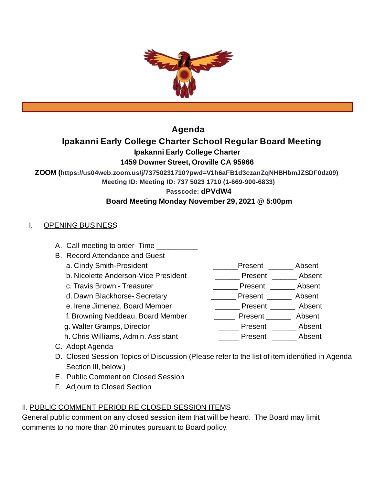

# **Agenda**

# **Ipakanni Early College Charter School Regular Board Meeting**

**Ipakanni Early College Charter**

## **1459 Downer Street, Oroville CA 95966**

**ZOOM (https://us04web.zoom.us/j/73750231710?pwd=V1h6aFB1d3czanZqNHBHbmJZSDF0dz09)**

**Meeting ID: Meeting ID: 737 5023 1710 (1-669-900-6833)**

**Passcode: dPVdW4**

## **Board Meeting Monday November 29, 2021 @ 5:00pm**

## I. OPENING BUSINESS

- A. Call meeting to order-Time
- B. Record Attendance and Guest
	-
	- b. Nicolette Anderson-Vice President \_\_\_\_\_\_\_\_\_ Present \_\_\_\_\_\_\_ Absent
	- c. Travis Brown Treasurer \_\_\_\_\_\_\_\_\_\_\_\_\_\_\_\_\_\_\_\_\_\_\_\_Present \_\_\_\_\_\_\_\_\_ Absent
	- d. Dawn Blackhorse- Secretary \_\_\_\_\_\_\_\_\_\_\_\_\_ Present \_\_\_\_\_\_\_ Absent
	- e. Irene Jimenez, Board Member \_\_\_\_\_\_\_\_\_\_\_\_\_\_ Present \_\_\_\_\_\_\_\_ Absent
	- f. Browning Neddeau, Board Member \_\_\_\_\_\_\_ Present \_\_\_\_\_\_\_ Absent
	-
	- h. Chris Williams, Admin. Assistant **Example 2** Present Absent
- 
- C. Adopt Agenda D. Closed Session Topics of Discussion (Please refer to the list of item identified in Agenda
- Section III, below.)
- E. Public Comment on Closed Session
- F. Adjourn to Closed Section

# II. PUBLIC COMMENT PERIOD RE CLOSED SESSION ITEMS

General public comment on any closed session item that will be heard. The Board may limit comments to no more than 20 minutes pursuant to Board policy.

- a. Cindy Smith-President extending the second present and Absent
	-
	-
	-
	-
	- -
- g. Walter Gramps, Director  $\qquad \qquad \qquad \qquad$  Present  $\qquad \qquad$  Absent
	-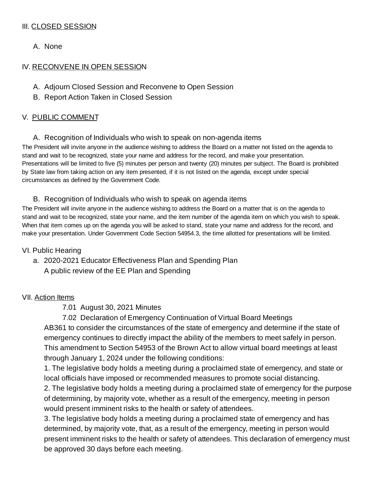## III. CLOSED SESSION

A. None

### IV. RECONVENE IN OPEN SESSION

- A. Adjourn Closed Session and Reconvene to Open Session
- B. Report Action Taken in Closed Session

### V. PUBLIC COMMENT

A. Recognition of Individuals who wish to speak on non-agenda items

The President will invite anyone in the audience wishing to address the Board on a matter not listed on the agenda to stand and wait to be recognized, state your name and address for the record, and make your presentation. Presentations will be limited to five (5) minutes per person and twenty (20) minutes per subject. The Board is prohibited by State law from taking action on any item presented, if it is not listed on the agenda, except under special circumstances as defined by the Government Code.

### B. Recognition of Individuals who wish to speak on agenda items

The President will invite anyone in the audience wishing to address the Board on a matter that is on the agenda to stand and wait to be recognized, state your name, and the item number of the agenda item on which you wish to speak. When that item comes up on the agenda you will be asked to stand, state your name and address for the record, and make your presentation. Under Government Code Section 54954.3, the time allotted for presentations will be limited.

#### VI. Public Hearing

a. 2020-2021 Educator Effectiveness Plan and Spending Plan A public review of the EE Plan and Spending

#### VII. Action Items

7.01 August 30, 2021 Minutes

7.02 Declaration of Emergency Continuation of Virtual Board Meetings AB361 to consider the circumstances of the state of emergency and determine if the state of emergency continues to directly impact the ability of the members to meet safely in person. This amendment to Section 54953 of the Brown Act to allow virtual board meetings at least through January 1, 2024 under the following conditions:

1. The legislative body holds a meeting during a proclaimed state of emergency, and state or local officials have imposed or recommended measures to promote social distancing.

2. The legislative body holds a meeting during a proclaimed state of emergency for the purpose of determining, by majority vote, whether as a result of the emergency, meeting in person would present imminent risks to the health or safety of attendees.

3. The legislative body holds a meeting during a proclaimed state of emergency and has determined, by majority vote, that, as a result of the emergency, meeting in person would present imminent risks to the health or safety of attendees. This declaration of emergency must be approved 30 days before each meeting.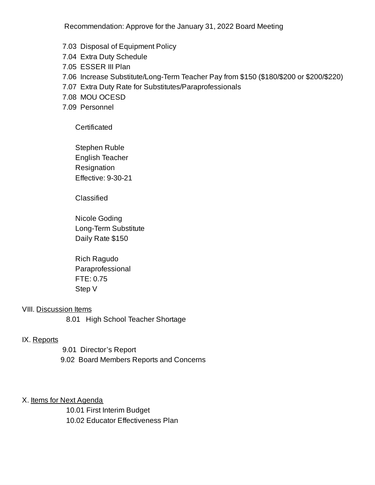Recommendation: Approve for the January 31, 2022 Board Meeting

- 7.03 Disposal of Equipment Policy
- 7.04 Extra Duty Schedule
- 7.05 ESSER III Plan
- 7.06 Increase Substitute/Long-Term Teacher Pay from \$150 (\$180/\$200 or \$200/\$220)
- 7.07 Extra Duty Rate for Substitutes/Paraprofessionals
- 7.08 MOU OCESD
- 7.09 Personnel

Certificated

Stephen Ruble English Teacher Resignation Effective: 9-30-21

Classified

Nicole Goding Long-Term Substitute Daily Rate \$150

Rich Ragudo Paraprofessional FTE: 0.75 Step V

#### VIII. Discussion Items

8.01 High School Teacher Shortage

#### IX. Reports

9.01 Director's Report 9.02 Board Members Reports and Concerns

#### X. Items for Next Agenda

10.01 First Interim Budget 10.02 Educator Effectiveness Plan